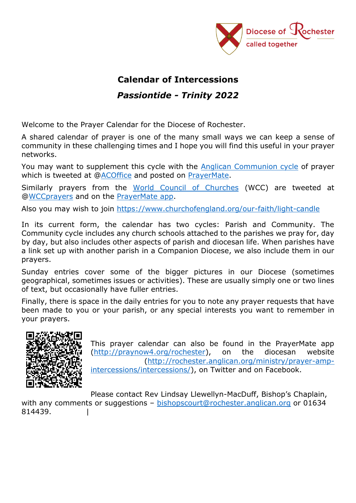

## **Calendar of Intercessions**

## *Passiontide - Trinity 2022*

Welcome to the Prayer Calendar for the Diocese of Rochester.

A shared calendar of prayer is one of the many small ways we can keep a sense of community in these challenging times and I hope you will find this useful in your prayer networks.

You may want to supplement this cycle with the [Anglican Communion cycle](http://www.anglicancommunion.org/resources/cycle-of-prayer.aspx) of prayer which is tweeted at [@ACOffice](https://twitter.com/ACOffice) and posted on [PrayerMate.](http://praynow4.org/anglicancommunion)

Similarly prayers from the [World Council of Churches](https://www.oikoumene.org/en/resources/prayer-cycle/) (WCC) are tweeted at [@WCCprayers](https://twitter.com/WCCprayers) and on the [PrayerMate app.](http://praynow4.org/oikoumene)

Also you may wish to join<https://www.churchofengland.org/our-faith/light-candle>

In its current form, the calendar has two cycles: Parish and Community. The Community cycle includes any church schools attached to the parishes we pray for, day by day, but also includes other aspects of parish and diocesan life. When parishes have a link set up with another parish in a Companion Diocese, we also include them in our prayers.

Sunday entries cover some of the bigger pictures in our Diocese (sometimes geographical, sometimes issues or activities). These are usually simply one or two lines of text, but occasionally have fuller entries.

Finally, there is space in the daily entries for you to note any prayer requests that have been made to you or your parish, or any special interests you want to remember in your prayers.



This prayer calendar can also be found in the PrayerMate app [\(http://praynow4.org/rochester\)](http://praynow4.org/rochester), on the diocesan website [\(http://rochester.anglican.org/ministry/prayer-amp](http://rochester.anglican.org/ministry/prayer-amp-intercessions/intercessions/)[intercessions/intercessions/\)](http://rochester.anglican.org/ministry/prayer-amp-intercessions/intercessions/), on Twitter and on Facebook.

Please contact Rev Lindsay Llewellyn-MacDuff, Bishop's Chaplain, with any comments or suggestions – [bishopscourt@rochester.anglican.org](mailto:bishopscourt@Rochester.Anglican.org) or 01634 814439. |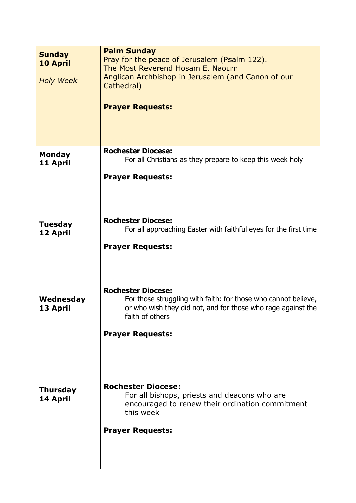| <b>Sunday</b><br><b>10 April</b><br><b>Holy Week</b> | <b>Palm Sunday</b><br>Pray for the peace of Jerusalem (Psalm 122).<br>The Most Reverend Hosam E. Naoum<br>Anglican Archbishop in Jerusalem (and Canon of our<br>Cathedral)<br><b>Prayer Requests:</b>     |
|------------------------------------------------------|-----------------------------------------------------------------------------------------------------------------------------------------------------------------------------------------------------------|
| <b>Monday</b><br>11 April                            | <b>Rochester Diocese:</b><br>For all Christians as they prepare to keep this week holy<br><b>Prayer Requests:</b>                                                                                         |
| <b>Tuesday</b><br>12 April                           | <b>Rochester Diocese:</b><br>For all approaching Easter with faithful eyes for the first time<br><b>Prayer Requests:</b>                                                                                  |
| Wednesday<br>13 April                                | <b>Rochester Diocese:</b><br>For those struggling with faith: for those who cannot believe,<br>or who wish they did not, and for those who rage against the<br>faith of others<br><b>Prayer Requests:</b> |
| <b>Thursday</b><br>14 April                          | <b>Rochester Diocese:</b><br>For all bishops, priests and deacons who are<br>encouraged to renew their ordination commitment<br>this week<br><b>Prayer Requests:</b>                                      |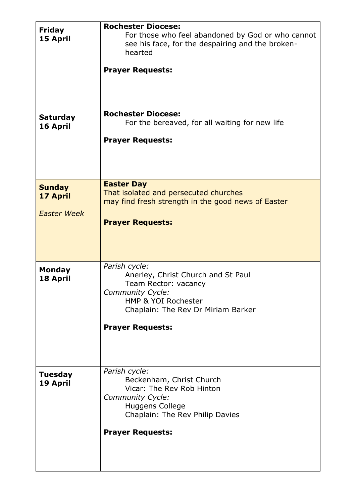| <b>Friday</b><br>15 April                              | <b>Rochester Diocese:</b><br>For those who feel abandoned by God or who cannot<br>see his face, for the despairing and the broken-<br>hearted<br><b>Prayer Requests:</b>                       |
|--------------------------------------------------------|------------------------------------------------------------------------------------------------------------------------------------------------------------------------------------------------|
| <b>Saturday</b><br>16 April                            | <b>Rochester Diocese:</b><br>For the bereaved, for all waiting for new life<br><b>Prayer Requests:</b>                                                                                         |
| <b>Sunday</b><br><b>17 April</b><br><b>Easter Week</b> | <b>Easter Day</b><br>That isolated and persecuted churches<br>may find fresh strength in the good news of Easter<br><b>Prayer Requests:</b>                                                    |
| <b>Monday</b><br>18 April                              | Parish cycle:<br>Anerley, Christ Church and St Paul<br>Team Rector: vacancy<br><b>Community Cycle:</b><br>HMP & YOI Rochester<br>Chaplain: The Rev Dr Miriam Barker<br><b>Prayer Requests:</b> |
| <b>Tuesday</b><br>19 April                             | Parish cycle:<br>Beckenham, Christ Church<br>Vicar: The Rev Rob Hinton<br>Community Cycle:<br>Huggens College<br>Chaplain: The Rev Philip Davies<br><b>Prayer Requests:</b>                    |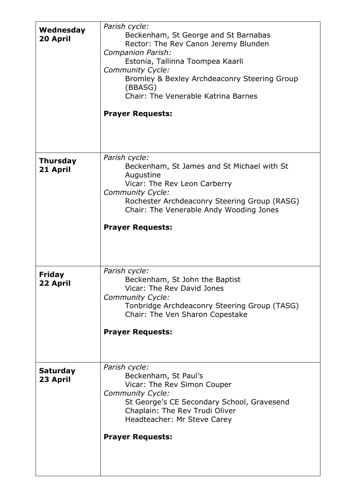| Wednesday<br>20 April       | Parish cycle:<br>Beckenham, St George and St Barnabas<br>Rector: The Rev Canon Jeremy Blunden<br>Companion Parish:<br>Estonia, Tallinna Toompea Kaarli<br>Community Cycle:<br>Bromley & Bexley Archdeaconry Steering Group<br>(BBASG)<br>Chair: The Venerable Katrina Barnes<br><b>Prayer Requests:</b> |
|-----------------------------|---------------------------------------------------------------------------------------------------------------------------------------------------------------------------------------------------------------------------------------------------------------------------------------------------------|
| <b>Thursday</b><br>21 April | Parish cycle:<br>Beckenham, St James and St Michael with St<br>Augustine<br>Vicar: The Rev Leon Carberry<br>Community Cycle:<br>Rochester Archdeaconry Steering Group (RASG)<br>Chair: The Venerable Andy Wooding Jones<br><b>Prayer Requests:</b>                                                      |
| <b>Friday</b><br>22 April   | Parish cycle:<br>Beckenham, St John the Baptist<br>Vicar: The Rev David Jones<br><b>Community Cycle:</b><br>Tonbridge Archdeaconry Steering Group (TASG)<br>Chair: The Ven Sharon Copestake<br><b>Prayer Requests:</b>                                                                                  |
| <b>Saturday</b><br>23 April | Parish cycle:<br>Beckenham, St Paul's<br>Vicar: The Rev Simon Couper<br>Community Cycle:<br>St George's CE Secondary School, Gravesend<br>Chaplain: The Rev Trudi Oliver<br>Headteacher: Mr Steve Carey<br><b>Prayer Requests:</b>                                                                      |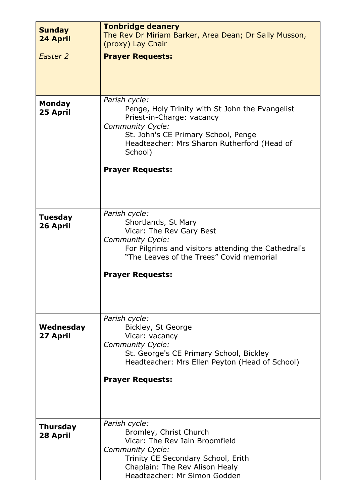| <b>Sunday</b><br>24 April<br>Easter 2 | <b>Tonbridge deanery</b><br>The Rev Dr Miriam Barker, Area Dean; Dr Sally Musson,<br>(proxy) Lay Chair<br><b>Prayer Requests:</b>                                                                                                             |
|---------------------------------------|-----------------------------------------------------------------------------------------------------------------------------------------------------------------------------------------------------------------------------------------------|
| <b>Monday</b><br>25 April             | Parish cycle:<br>Penge, Holy Trinity with St John the Evangelist<br>Priest-in-Charge: vacancy<br>Community Cycle:<br>St. John's CE Primary School, Penge<br>Headteacher: Mrs Sharon Rutherford (Head of<br>School)<br><b>Prayer Requests:</b> |
| <b>Tuesday</b><br>26 April            | Parish cycle:<br>Shortlands, St Mary<br>Vicar: The Rev Gary Best<br>Community Cycle:<br>For Pilgrims and visitors attending the Cathedral's<br>"The Leaves of the Trees" Covid memorial<br><b>Prayer Requests:</b>                            |
| Wednesday<br>27 April                 | Parish cycle:<br>Bickley, St George<br>Vicar: vacancy<br>Community Cycle:<br>St. George's CE Primary School, Bickley<br>Headteacher: Mrs Ellen Peyton (Head of School)<br><b>Prayer Requests:</b>                                             |
| <b>Thursday</b><br>28 April           | Parish cycle:<br>Bromley, Christ Church<br>Vicar: The Rev Iain Broomfield<br>Community Cycle:<br>Trinity CE Secondary School, Erith<br>Chaplain: The Rev Alison Healy<br>Headteacher: Mr Simon Godden                                         |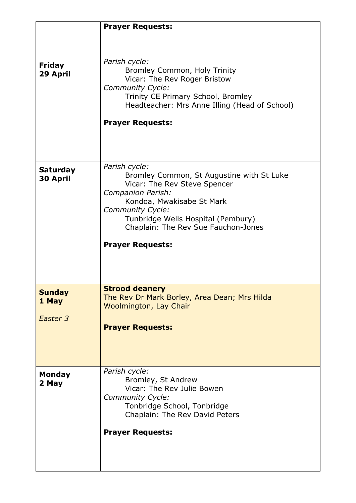|                                    | <b>Prayer Requests:</b>                                                                                                                                                                                                                                                         |
|------------------------------------|---------------------------------------------------------------------------------------------------------------------------------------------------------------------------------------------------------------------------------------------------------------------------------|
|                                    |                                                                                                                                                                                                                                                                                 |
| <b>Friday</b><br>29 April          | Parish cycle:<br>Bromley Common, Holy Trinity<br>Vicar: The Rev Roger Bristow<br>Community Cycle:<br>Trinity CE Primary School, Bromley<br>Headteacher: Mrs Anne Illing (Head of School)<br><b>Prayer Requests:</b>                                                             |
| <b>Saturday</b><br>30 April        | Parish cycle:<br>Bromley Common, St Augustine with St Luke<br>Vicar: The Rev Steve Spencer<br><b>Companion Parish:</b><br>Kondoa, Mwakisabe St Mark<br>Community Cycle:<br>Tunbridge Wells Hospital (Pembury)<br>Chaplain: The Rev Sue Fauchon-Jones<br><b>Prayer Requests:</b> |
| <b>Sunday</b><br>1 May<br>Easter 3 | <b>Strood deanery</b><br>The Rev Dr Mark Borley, Area Dean; Mrs Hilda<br><b>Woolmington, Lay Chair</b><br><b>Prayer Requests:</b>                                                                                                                                               |
| <b>Monday</b><br>2 May             | Parish cycle:<br>Bromley, St Andrew<br>Vicar: The Rev Julie Bowen<br>Community Cycle:<br>Tonbridge School, Tonbridge<br>Chaplain: The Rev David Peters<br><b>Prayer Requests:</b>                                                                                               |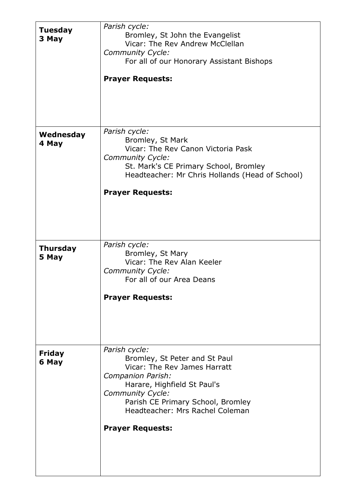| <b>Tuesday</b><br>3 May  | Parish cycle:<br>Bromley, St John the Evangelist<br>Vicar: The Rev Andrew McClellan<br>Community Cycle:<br>For all of our Honorary Assistant Bishops<br><b>Prayer Requests:</b>                                                                           |
|--------------------------|-----------------------------------------------------------------------------------------------------------------------------------------------------------------------------------------------------------------------------------------------------------|
| Wednesday<br>4 May       | Parish cycle:<br>Bromley, St Mark<br>Vicar: The Rev Canon Victoria Pask<br><b>Community Cycle:</b><br>St. Mark's CE Primary School, Bromley<br>Headteacher: Mr Chris Hollands (Head of School)<br><b>Prayer Requests:</b>                                 |
| <b>Thursday</b><br>5 May | Parish cycle:<br>Bromley, St Mary<br>Vicar: The Rev Alan Keeler<br>Community Cycle:<br>For all of our Area Deans<br><b>Prayer Requests:</b>                                                                                                               |
| <b>Friday</b><br>6 May   | Parish cycle:<br>Bromley, St Peter and St Paul<br>Vicar: The Rev James Harratt<br>Companion Parish:<br>Harare, Highfield St Paul's<br>Community Cycle:<br>Parish CE Primary School, Bromley<br>Headteacher: Mrs Rachel Coleman<br><b>Prayer Requests:</b> |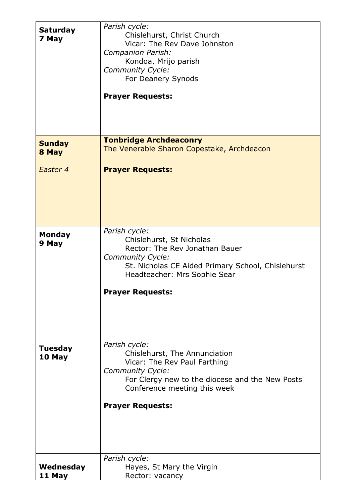| <b>Saturday</b><br>7 May | Parish cycle:<br>Chislehurst, Christ Church<br>Vicar: The Rev Dave Johnston<br><b>Companion Parish:</b><br>Kondoa, Mrijo parish<br>Community Cycle:<br>For Deanery Synods<br><b>Prayer Requests:</b>                   |
|--------------------------|------------------------------------------------------------------------------------------------------------------------------------------------------------------------------------------------------------------------|
| <b>Sunday</b><br>8 May   | <b>Tonbridge Archdeaconry</b><br>The Venerable Sharon Copestake, Archdeacon                                                                                                                                            |
| Easter 4                 | <b>Prayer Requests:</b>                                                                                                                                                                                                |
| <b>Monday</b><br>9 May   | Parish cycle:<br>Chislehurst, St Nicholas<br>Rector: The Rev Jonathan Bauer<br><b>Community Cycle:</b><br>St. Nicholas CE Aided Primary School, Chislehurst<br>Headteacher: Mrs Sophie Sear<br><b>Prayer Requests:</b> |
| <b>Tuesday</b><br>10 May | Parish cycle:<br>Chislehurst, The Annunciation<br>Vicar: The Rev Paul Farthing<br>Community Cycle:<br>For Clergy new to the diocese and the New Posts<br>Conference meeting this week<br><b>Prayer Requests:</b>       |
| Wednesday                | Parish cycle:<br>Hayes, St Mary the Virgin                                                                                                                                                                             |
| 11 May                   | Rector: vacancy                                                                                                                                                                                                        |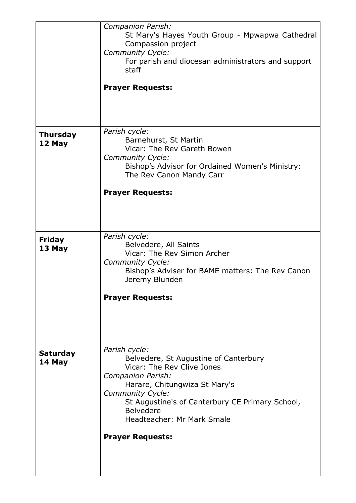|                           | Companion Parish:<br>St Mary's Hayes Youth Group - Mpwapwa Cathedral<br>Compassion project                                                                                                                                                                          |
|---------------------------|---------------------------------------------------------------------------------------------------------------------------------------------------------------------------------------------------------------------------------------------------------------------|
|                           | Community Cycle:<br>For parish and diocesan administrators and support<br>staff                                                                                                                                                                                     |
|                           | <b>Prayer Requests:</b>                                                                                                                                                                                                                                             |
| <b>Thursday</b><br>12 May | Parish cycle:<br>Barnehurst, St Martin<br>Vicar: The Rev Gareth Bowen<br><b>Community Cycle:</b><br>Bishop's Advisor for Ordained Women's Ministry:<br>The Rev Canon Mandy Carr<br><b>Prayer Requests:</b>                                                          |
|                           |                                                                                                                                                                                                                                                                     |
| <b>Friday</b><br>13 May   | Parish cycle:<br>Belvedere, All Saints<br>Vicar: The Rev Simon Archer<br>Community Cycle:<br>Bishop's Adviser for BAME matters: The Rev Canon<br>Jeremy Blunden                                                                                                     |
|                           | <b>Prayer Requests:</b>                                                                                                                                                                                                                                             |
| <b>Saturday</b><br>14 May | Parish cycle:<br>Belvedere, St Augustine of Canterbury<br>Vicar: The Rev Clive Jones<br>Companion Parish:<br>Harare, Chitungwiza St Mary's<br>Community Cycle:<br>St Augustine's of Canterbury CE Primary School,<br><b>Belvedere</b><br>Headteacher: Mr Mark Smale |
|                           | <b>Prayer Requests:</b>                                                                                                                                                                                                                                             |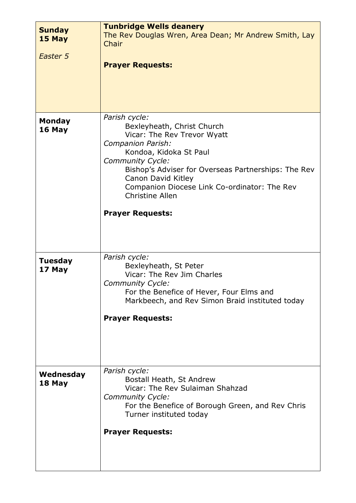| <b>Sunday</b><br>15 May<br>Easter 5 | <b>Tunbridge Wells deanery</b><br>The Rev Douglas Wren, Area Dean; Mr Andrew Smith, Lay<br>Chair<br><b>Prayer Requests:</b>                                                                                                                                                                                                     |
|-------------------------------------|---------------------------------------------------------------------------------------------------------------------------------------------------------------------------------------------------------------------------------------------------------------------------------------------------------------------------------|
| <b>Monday</b><br>16 May             | Parish cycle:<br>Bexleyheath, Christ Church<br>Vicar: The Rev Trevor Wyatt<br>Companion Parish:<br>Kondoa, Kidoka St Paul<br>Community Cycle:<br>Bishop's Adviser for Overseas Partnerships: The Rev<br>Canon David Kitley<br>Companion Diocese Link Co-ordinator: The Rev<br><b>Christine Allen</b><br><b>Prayer Requests:</b> |
| <b>Tuesday</b><br>17 May            | Parish cycle:<br>Bexleyheath, St Peter<br>Vicar: The Rev Jim Charles<br>Community Cycle:<br>For the Benefice of Hever, Four Elms and<br>Markbeech, and Rev Simon Braid instituted today<br><b>Prayer Requests:</b>                                                                                                              |
| Wednesday<br>18 May                 | Parish cycle:<br>Bostall Heath, St Andrew<br>Vicar: The Rev Sulaiman Shahzad<br>Community Cycle:<br>For the Benefice of Borough Green, and Rev Chris<br>Turner instituted today<br><b>Prayer Requests:</b>                                                                                                                      |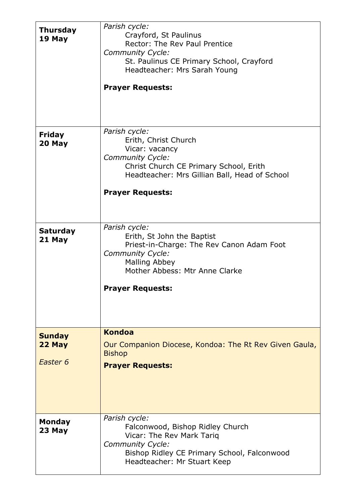| <b>Thursday</b><br>19 May                      | Parish cycle:<br>Crayford, St Paulinus<br>Rector: The Rev Paul Prentice<br>Community Cycle:<br>St. Paulinus CE Primary School, Crayford<br>Headteacher: Mrs Sarah Young<br><b>Prayer Requests:</b> |
|------------------------------------------------|----------------------------------------------------------------------------------------------------------------------------------------------------------------------------------------------------|
| <b>Friday</b><br>20 May                        | Parish cycle:<br>Erith, Christ Church<br>Vicar: vacancy<br>Community Cycle:<br>Christ Church CE Primary School, Erith<br>Headteacher: Mrs Gillian Ball, Head of School<br><b>Prayer Requests:</b>  |
| <b>Saturday</b><br>21 May                      | Parish cycle:<br>Erith, St John the Baptist<br>Priest-in-Charge: The Rev Canon Adam Foot<br>Community Cycle:<br>Malling Abbey<br>Mother Abbess: Mtr Anne Clarke<br><b>Prayer Requests:</b>         |
| <b>Sunday</b><br>22 May<br>Easter <sub>6</sub> | <b>Kondoa</b><br>Our Companion Diocese, Kondoa: The Rt Rev Given Gaula,<br><b>Bishop</b><br><b>Prayer Requests:</b>                                                                                |
| <b>Monday</b><br>23 May                        | Parish cycle:<br>Falconwood, Bishop Ridley Church<br>Vicar: The Rev Mark Tariq<br><b>Community Cycle:</b><br>Bishop Ridley CE Primary School, Falconwood<br>Headteacher: Mr Stuart Keep            |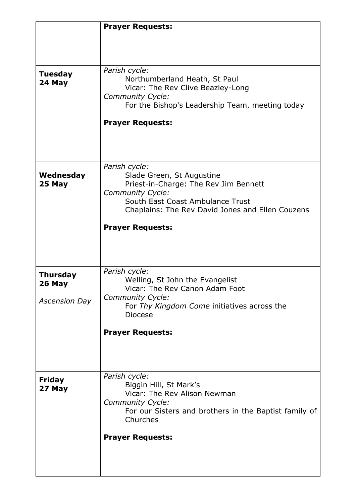|                          | <b>Prayer Requests:</b>                                                                                 |
|--------------------------|---------------------------------------------------------------------------------------------------------|
|                          |                                                                                                         |
|                          |                                                                                                         |
|                          |                                                                                                         |
| <b>Tuesday</b><br>24 May | Parish cycle:<br>Northumberland Heath, St Paul<br>Vicar: The Rev Clive Beazley-Long<br>Community Cycle: |
|                          | For the Bishop's Leadership Team, meeting today                                                         |
|                          | <b>Prayer Requests:</b>                                                                                 |
|                          |                                                                                                         |
|                          |                                                                                                         |
|                          |                                                                                                         |
|                          | Parish cycle:                                                                                           |
| Wednesday                | Slade Green, St Augustine                                                                               |
| 25 May                   | Priest-in-Charge: The Rev Jim Bennett                                                                   |
|                          | Community Cycle:                                                                                        |
|                          | South East Coast Ambulance Trust                                                                        |
|                          | Chaplains: The Rev David Jones and Ellen Couzens                                                        |
|                          | <b>Prayer Requests:</b>                                                                                 |
|                          |                                                                                                         |
|                          |                                                                                                         |
|                          |                                                                                                         |
|                          |                                                                                                         |
| <b>Thursday</b>          | Parish cycle:                                                                                           |
| 26 May                   | Welling, St John the Evangelist<br>Vicar: The Rev Canon Adam Foot                                       |
|                          | <b>Community Cycle:</b>                                                                                 |
| <b>Ascension Day</b>     | For Thy Kingdom Come initiatives across the                                                             |
|                          | <b>Diocese</b>                                                                                          |
|                          |                                                                                                         |
|                          | <b>Prayer Requests:</b>                                                                                 |
|                          |                                                                                                         |
|                          |                                                                                                         |
|                          |                                                                                                         |
|                          | Parish cycle:                                                                                           |
| <b>Friday</b><br>27 May  | Biggin Hill, St Mark's                                                                                  |
|                          | Vicar: The Rev Alison Newman                                                                            |
|                          | Community Cycle:                                                                                        |
|                          | For our Sisters and brothers in the Baptist family of                                                   |
|                          | Churches                                                                                                |
|                          | <b>Prayer Requests:</b>                                                                                 |
|                          |                                                                                                         |
|                          |                                                                                                         |
|                          |                                                                                                         |
|                          |                                                                                                         |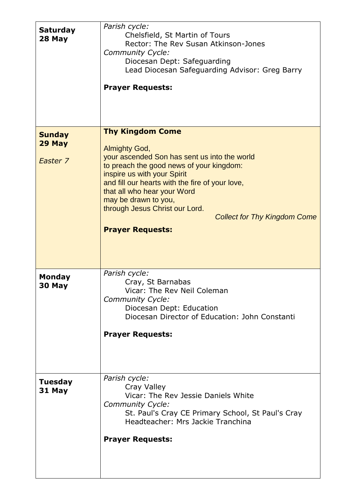| <b>Saturday</b><br>28 May | Parish cycle:<br>Chelsfield, St Martin of Tours<br>Rector: The Rev Susan Atkinson-Jones<br>Community Cycle:<br>Diocesan Dept: Safeguarding<br>Lead Diocesan Safeguarding Advisor: Greg Barry<br><b>Prayer Requests:</b>                                                                                                               |
|---------------------------|---------------------------------------------------------------------------------------------------------------------------------------------------------------------------------------------------------------------------------------------------------------------------------------------------------------------------------------|
| <b>Sunday</b>             | <b>Thy Kingdom Come</b>                                                                                                                                                                                                                                                                                                               |
| 29 May                    | <b>Almighty God,</b>                                                                                                                                                                                                                                                                                                                  |
| Easter 7                  | your ascended Son has sent us into the world<br>to preach the good news of your kingdom:<br>inspire us with your Spirit<br>and fill our hearts with the fire of your love,<br>that all who hear your Word<br>may be drawn to you,<br>through Jesus Christ our Lord.<br><b>Collect for Thy Kingdom Come</b><br><b>Prayer Requests:</b> |
| <b>Monday</b><br>30 May   | Parish cycle:<br>Cray, St Barnabas<br>Vicar: The Rev Neil Coleman<br>Community Cycle:<br>Diocesan Dept: Education<br>Diocesan Director of Education: John Constanti<br><b>Prayer Requests:</b>                                                                                                                                        |
| <b>Tuesday</b><br>31 May  | Parish cycle:<br>Cray Valley<br>Vicar: The Rev Jessie Daniels White<br>Community Cycle:<br>St. Paul's Cray CE Primary School, St Paul's Cray<br>Headteacher: Mrs Jackie Tranchina<br><b>Prayer Requests:</b>                                                                                                                          |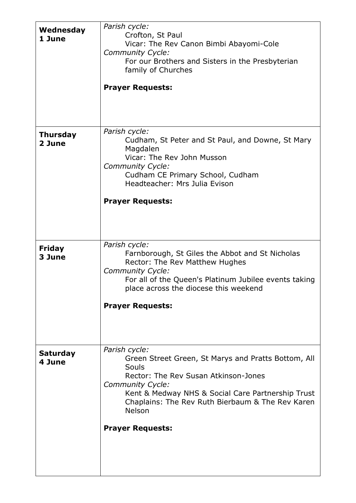| Wednesday<br>1 June       | Parish cycle:<br>Crofton, St Paul<br>Vicar: The Rev Canon Bimbi Abayomi-Cole<br>Community Cycle:<br>For our Brothers and Sisters in the Presbyterian<br>family of Churches<br><b>Prayer Requests:</b>                                                                                   |
|---------------------------|-----------------------------------------------------------------------------------------------------------------------------------------------------------------------------------------------------------------------------------------------------------------------------------------|
| <b>Thursday</b><br>2 June | Parish cycle:<br>Cudham, St Peter and St Paul, and Downe, St Mary<br>Magdalen<br>Vicar: The Rev John Musson<br><b>Community Cycle:</b><br>Cudham CE Primary School, Cudham<br>Headteacher: Mrs Julia Evison                                                                             |
|                           | <b>Prayer Requests:</b>                                                                                                                                                                                                                                                                 |
| <b>Friday</b><br>3 June   | Parish cycle:<br>Farnborough, St Giles the Abbot and St Nicholas<br>Rector: The Rev Matthew Hughes<br>Community Cycle:<br>For all of the Queen's Platinum Jubilee events taking<br>place across the diocese this weekend<br><b>Prayer Requests:</b>                                     |
| <b>Saturday</b><br>4 June | Parish cycle:<br>Green Street Green, St Marys and Pratts Bottom, All<br>Souls<br>Rector: The Rev Susan Atkinson-Jones<br>Community Cycle:<br>Kent & Medway NHS & Social Care Partnership Trust<br>Chaplains: The Rev Ruth Bierbaum & The Rev Karen<br>Nelson<br><b>Prayer Requests:</b> |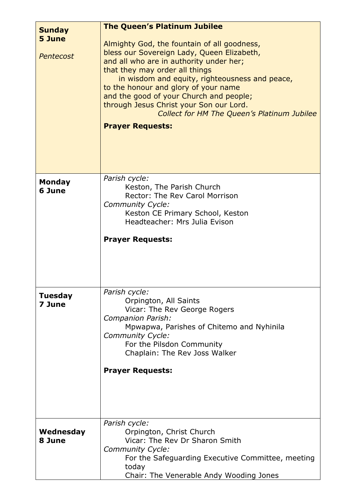| <b>Sunday</b>  | <b>The Queen's Platinum Jubilee</b>                                                                                                                                                                                                                                                                                                                                                                                                     |
|----------------|-----------------------------------------------------------------------------------------------------------------------------------------------------------------------------------------------------------------------------------------------------------------------------------------------------------------------------------------------------------------------------------------------------------------------------------------|
| 5 June         |                                                                                                                                                                                                                                                                                                                                                                                                                                         |
| Pentecost      | Almighty God, the fountain of all goodness,<br>bless our Sovereign Lady, Queen Elizabeth,<br>and all who are in authority under her;<br>that they may order all things<br>in wisdom and equity, righteousness and peace,<br>to the honour and glory of your name<br>and the good of your Church and people;<br>through Jesus Christ your Son our Lord.<br><b>Collect for HM The Queen's Platinum Jubilee</b><br><b>Prayer Requests:</b> |
| <b>Monday</b>  | Parish cycle:                                                                                                                                                                                                                                                                                                                                                                                                                           |
| 6 June         | Keston, The Parish Church                                                                                                                                                                                                                                                                                                                                                                                                               |
|                | Rector: The Rev Carol Morrison                                                                                                                                                                                                                                                                                                                                                                                                          |
|                | Community Cycle:<br>Keston CE Primary School, Keston                                                                                                                                                                                                                                                                                                                                                                                    |
|                | Headteacher: Mrs Julia Evison                                                                                                                                                                                                                                                                                                                                                                                                           |
|                |                                                                                                                                                                                                                                                                                                                                                                                                                                         |
|                | <b>Prayer Requests:</b>                                                                                                                                                                                                                                                                                                                                                                                                                 |
|                |                                                                                                                                                                                                                                                                                                                                                                                                                                         |
| <b>Tuesday</b> | Parish cycle:<br>Orpington, All Saints                                                                                                                                                                                                                                                                                                                                                                                                  |
| 7 June         | Vicar: The Rev George Rogers                                                                                                                                                                                                                                                                                                                                                                                                            |
|                | Companion Parish:                                                                                                                                                                                                                                                                                                                                                                                                                       |
|                | Mpwapwa, Parishes of Chitemo and Nyhinila                                                                                                                                                                                                                                                                                                                                                                                               |
|                | Community Cycle:                                                                                                                                                                                                                                                                                                                                                                                                                        |
|                | For the Pilsdon Community<br>Chaplain: The Rev Joss Walker                                                                                                                                                                                                                                                                                                                                                                              |
|                |                                                                                                                                                                                                                                                                                                                                                                                                                                         |
|                | <b>Prayer Requests:</b>                                                                                                                                                                                                                                                                                                                                                                                                                 |
|                |                                                                                                                                                                                                                                                                                                                                                                                                                                         |
|                | Parish cycle:                                                                                                                                                                                                                                                                                                                                                                                                                           |
| Wednesday      | Orpington, Christ Church                                                                                                                                                                                                                                                                                                                                                                                                                |
| 8 June         | Vicar: The Rev Dr Sharon Smith                                                                                                                                                                                                                                                                                                                                                                                                          |
|                | Community Cycle:                                                                                                                                                                                                                                                                                                                                                                                                                        |
|                | For the Safeguarding Executive Committee, meeting<br>today                                                                                                                                                                                                                                                                                                                                                                              |
|                |                                                                                                                                                                                                                                                                                                                                                                                                                                         |